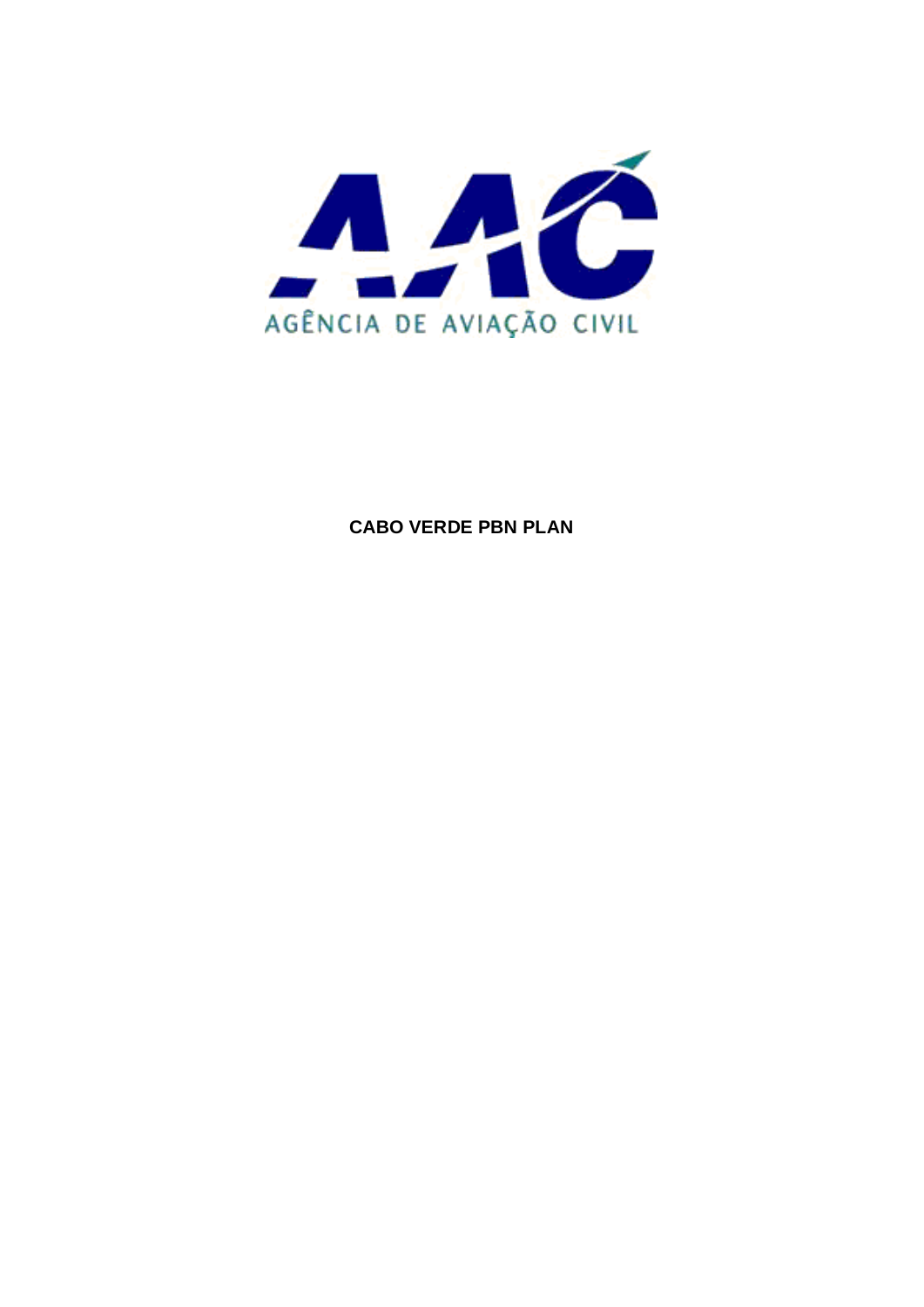

**CABO VERDE PBN PLAN**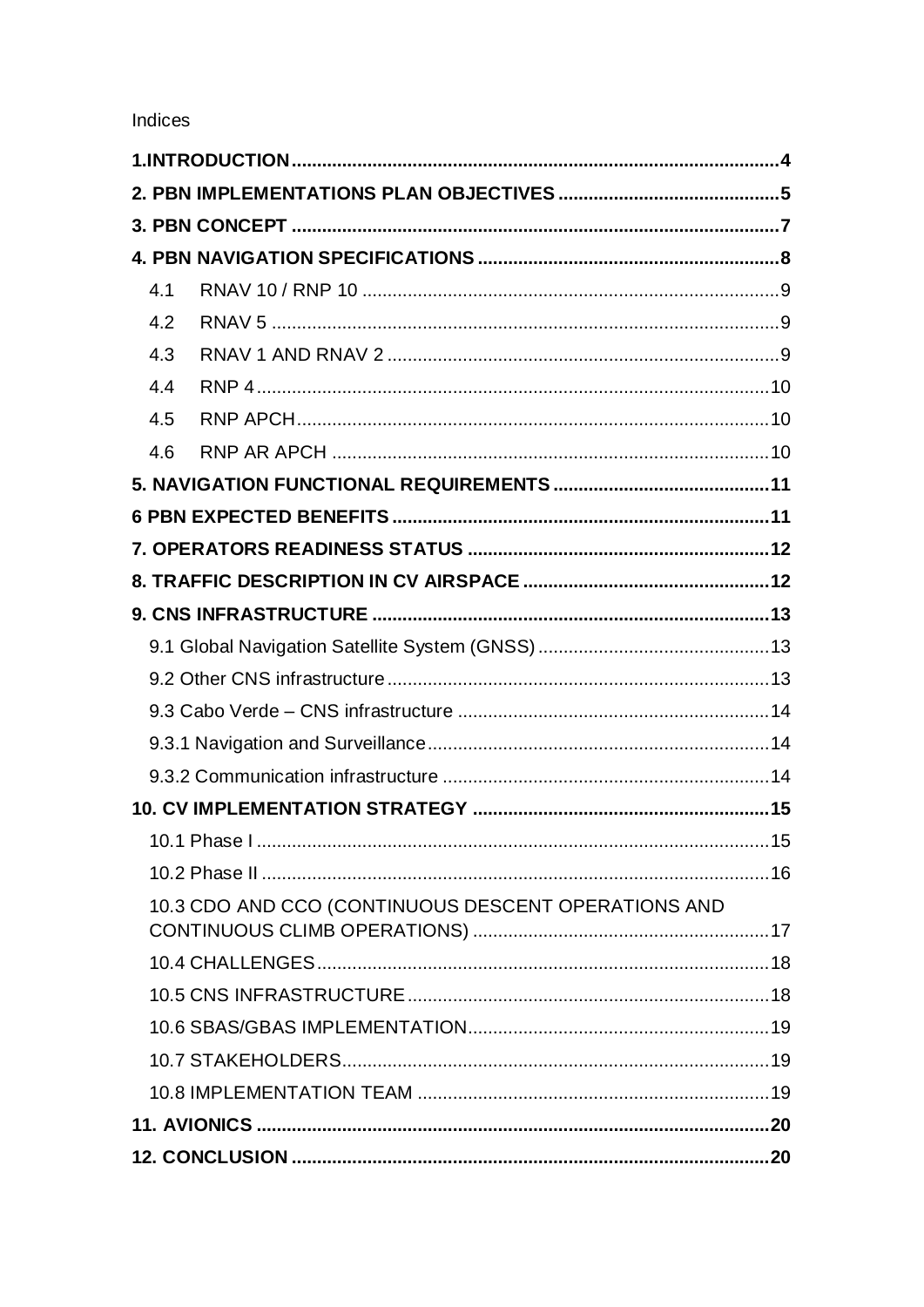Indices

| 4.1                                                 |     |
|-----------------------------------------------------|-----|
| 4.2                                                 |     |
| 4.3                                                 |     |
| 4.4                                                 |     |
| 4.5                                                 |     |
| 4.6                                                 |     |
|                                                     |     |
|                                                     |     |
|                                                     |     |
|                                                     |     |
|                                                     |     |
|                                                     |     |
|                                                     |     |
|                                                     |     |
|                                                     |     |
|                                                     |     |
|                                                     |     |
| 10.1 Phase I ………………………………………………………………………………………      | .15 |
|                                                     |     |
| 10.3 CDO AND CCO (CONTINUOUS DESCENT OPERATIONS AND |     |
|                                                     |     |
|                                                     |     |
|                                                     |     |
|                                                     |     |
|                                                     |     |
|                                                     |     |
|                                                     |     |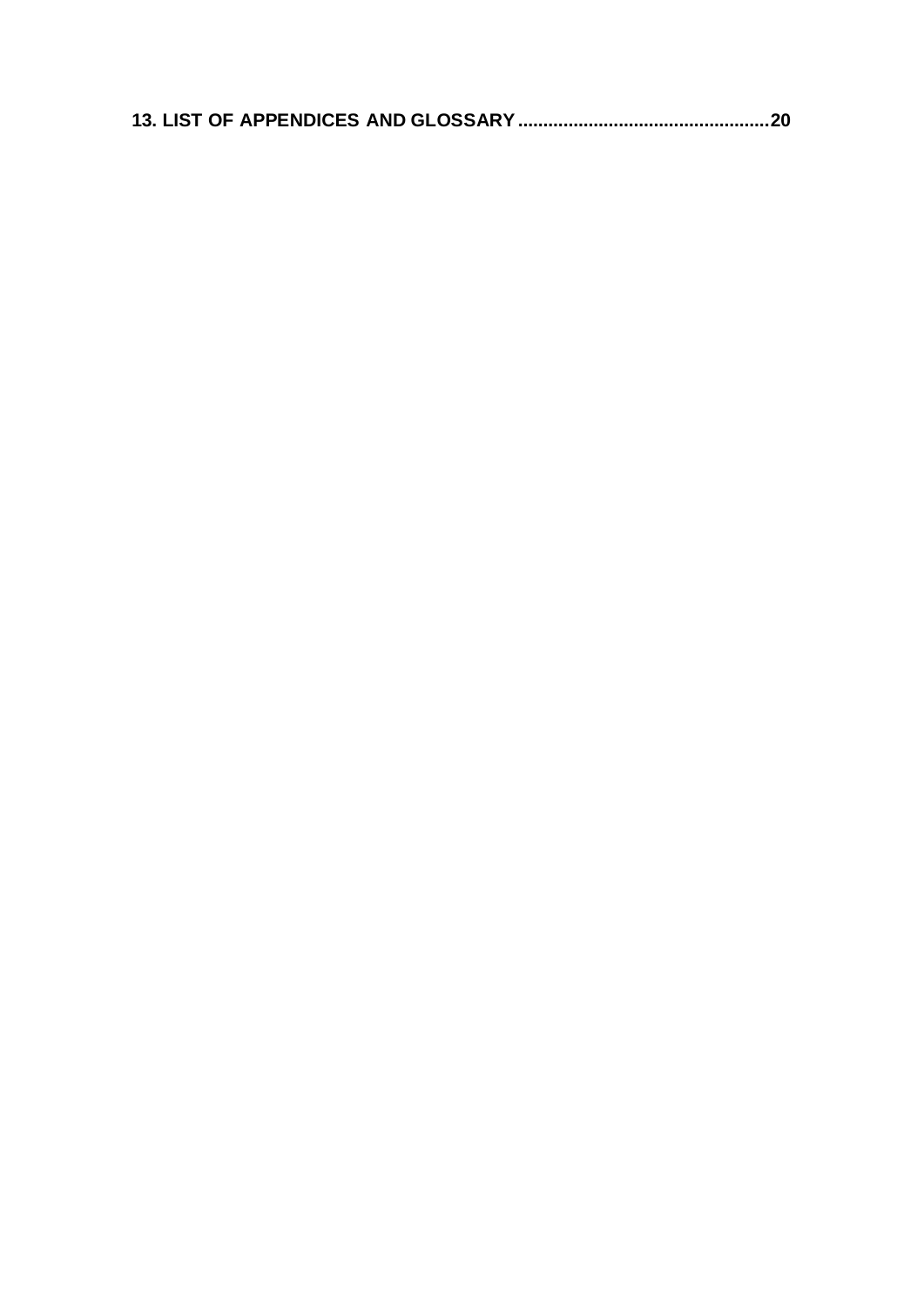**13. LIST OF APPENDICES [AND GLOSSARY..................................................20](#page-19-2)**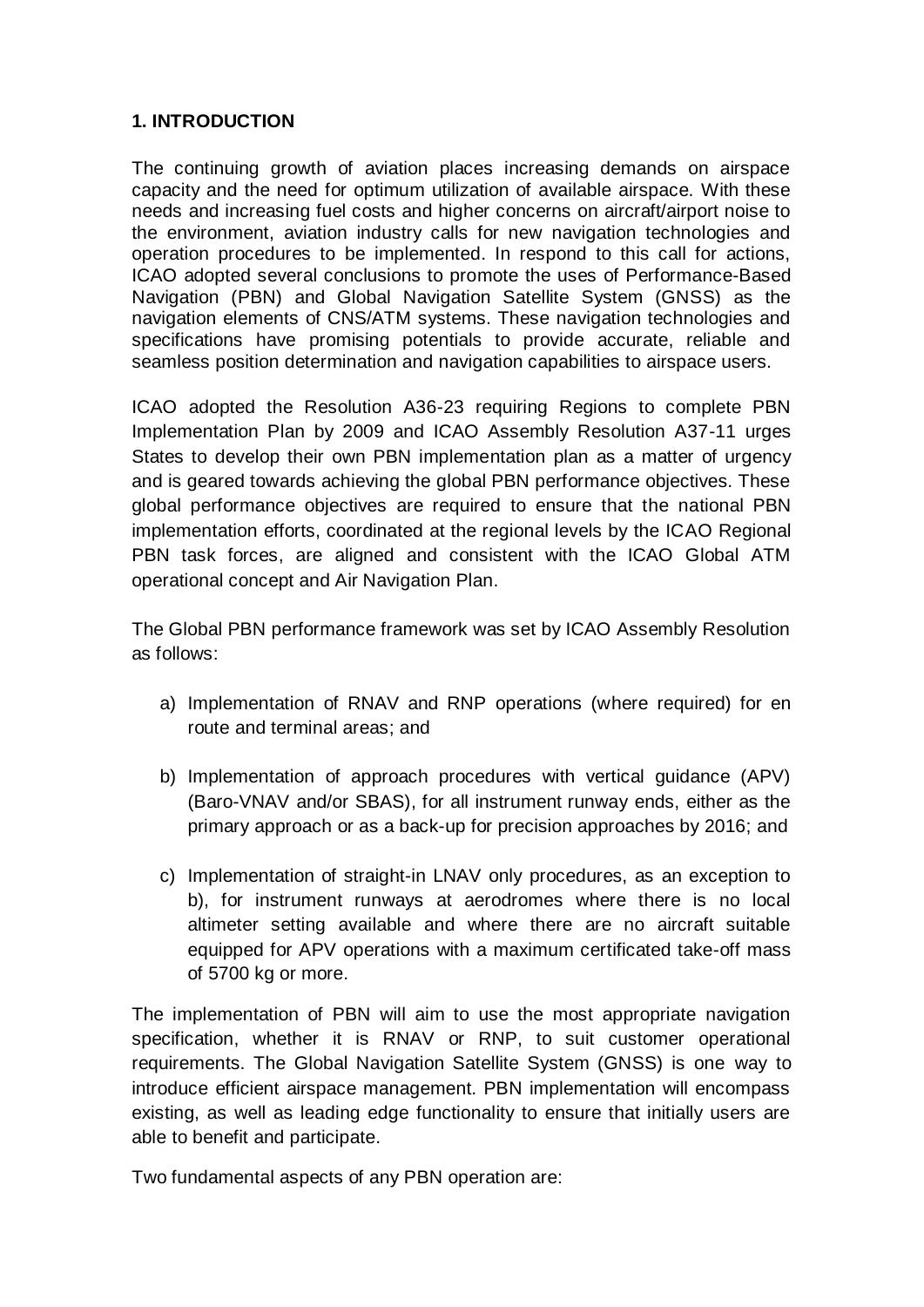### <span id="page-3-0"></span>**1. INTRODUCTION**

The continuing growth of aviation places increasing demands on airspace capacity and the need for optimum utilization of available airspace. With these needs and increasing fuel costs and higher concerns on aircraft/airport noise to the environment, aviation industry calls for new navigation technologies and operation procedures to be implemented. In respond to this call for actions, ICAO adopted several conclusions to promote the uses of Performance-Based Navigation (PBN) and Global Navigation Satellite System (GNSS) as the navigation elements of CNS/ATM systems. These navigation technologies and specifications have promising potentials to provide accurate, reliable and seamless position determination and navigation capabilities to airspace users.

ICAO adopted the Resolution A36-23 requiring Regions to complete PBN Implementation Plan by 2009 and ICAO Assembly Resolution A37-11 urges States to develop their own PBN implementation plan as a matter of urgency and is geared towards achieving the global PBN performance objectives. These global performance objectives are required to ensure that the national PBN implementation efforts, coordinated at the regional levels by the ICAO Regional PBN task forces, are aligned and consistent with the ICAO Global ATM operational concept and Air Navigation Plan.

The Global PBN performance framework was set by ICAO Assembly Resolution as follows:

- a) Implementation of RNAV and RNP operations (where required) for en route and terminal areas; and
- b) Implementation of approach procedures with vertical guidance (APV) (Baro-VNAV and/or SBAS), for all instrument runway ends, either as the primary approach or as a back-up for precision approaches by 2016; and
- c) Implementation of straight-in LNAV only procedures, as an exception to b), for instrument runways at aerodromes where there is no local altimeter setting available and where there are no aircraft suitable equipped for APV operations with a maximum certificated take-off mass of 5700 kg or more.

The implementation of PBN will aim to use the most appropriate navigation specification, whether it is RNAV or RNP, to suit customer operational requirements. The Global Navigation Satellite System (GNSS) is one way to introduce efficient airspace management. PBN implementation will encompass existing, as well as leading edge functionality to ensure that initially users are able to benefit and participate.

Two fundamental aspects of any PBN operation are: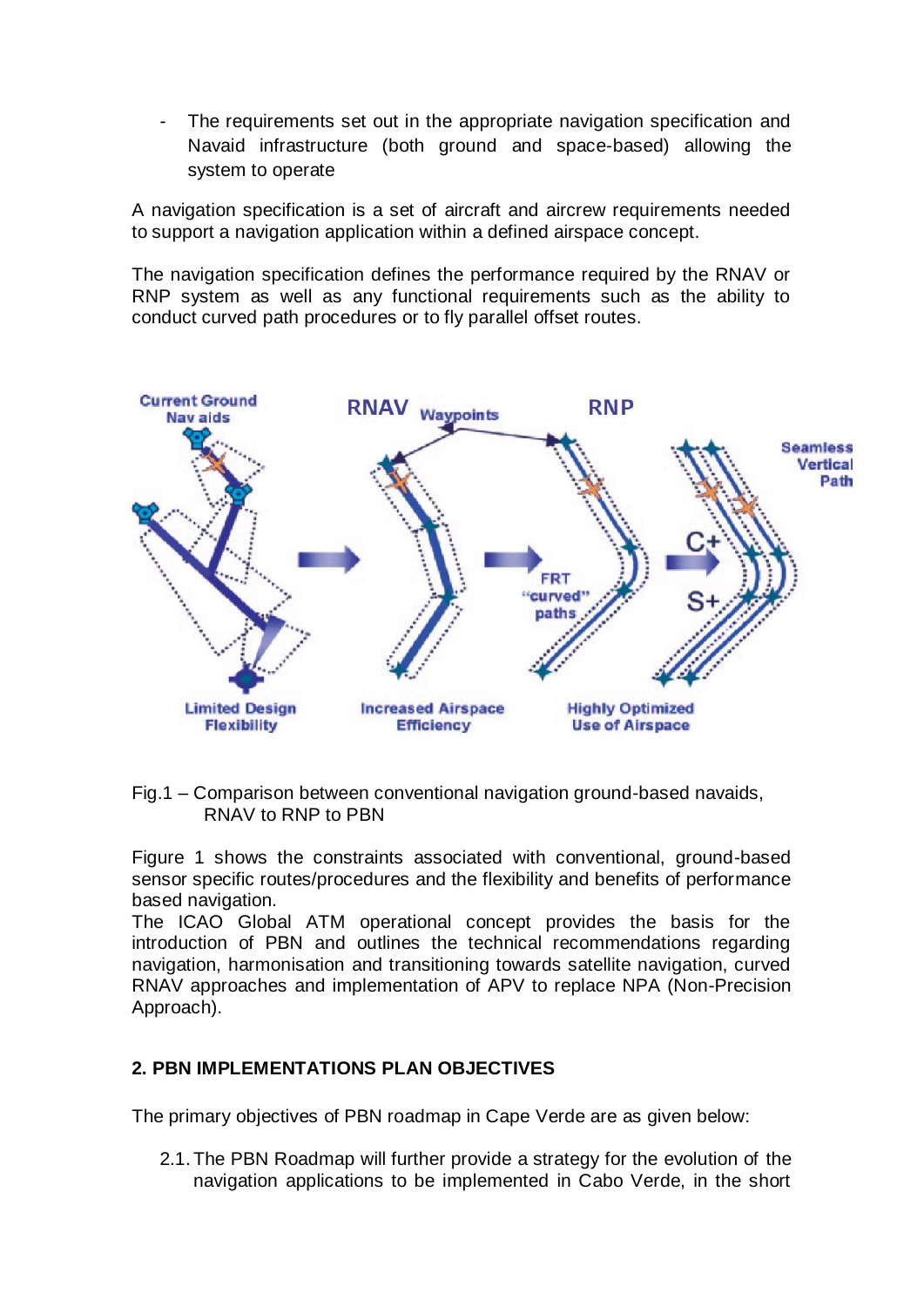The requirements set out in the appropriate navigation specification and Navaid infrastructure (both ground and space-based) allowing the system to operate

A navigation specification is a set of aircraft and aircrew requirements needed to support a navigation application within a defined airspace concept.

The navigation specification defines the performance required by the RNAV or RNP system as well as any functional requirements such as the ability to conduct curved path procedures or to fly parallel offset routes.



Fig.1 – Comparison between conventional navigation ground-based navaids, RNAV to RNP to PBN

Figure 1 shows the constraints associated with conventional, ground-based sensor specific routes/procedures and the flexibility and benefits of performance based navigation.

The ICAO Global ATM operational concept provides the basis for the introduction of PBN and outlines the technical recommendations regarding navigation, harmonisation and transitioning towards satellite navigation, curved RNAV approaches and implementation of APV to replace NPA (Non-Precision Approach).

### <span id="page-4-0"></span>**2. PBN IMPLEMENTATIONS PLAN OBJECTIVES**

The primary objectives of PBN roadmap in Cape Verde are as given below:

2.1.The PBN Roadmap will further provide a strategy for the evolution of the navigation applications to be implemented in Cabo Verde, in the short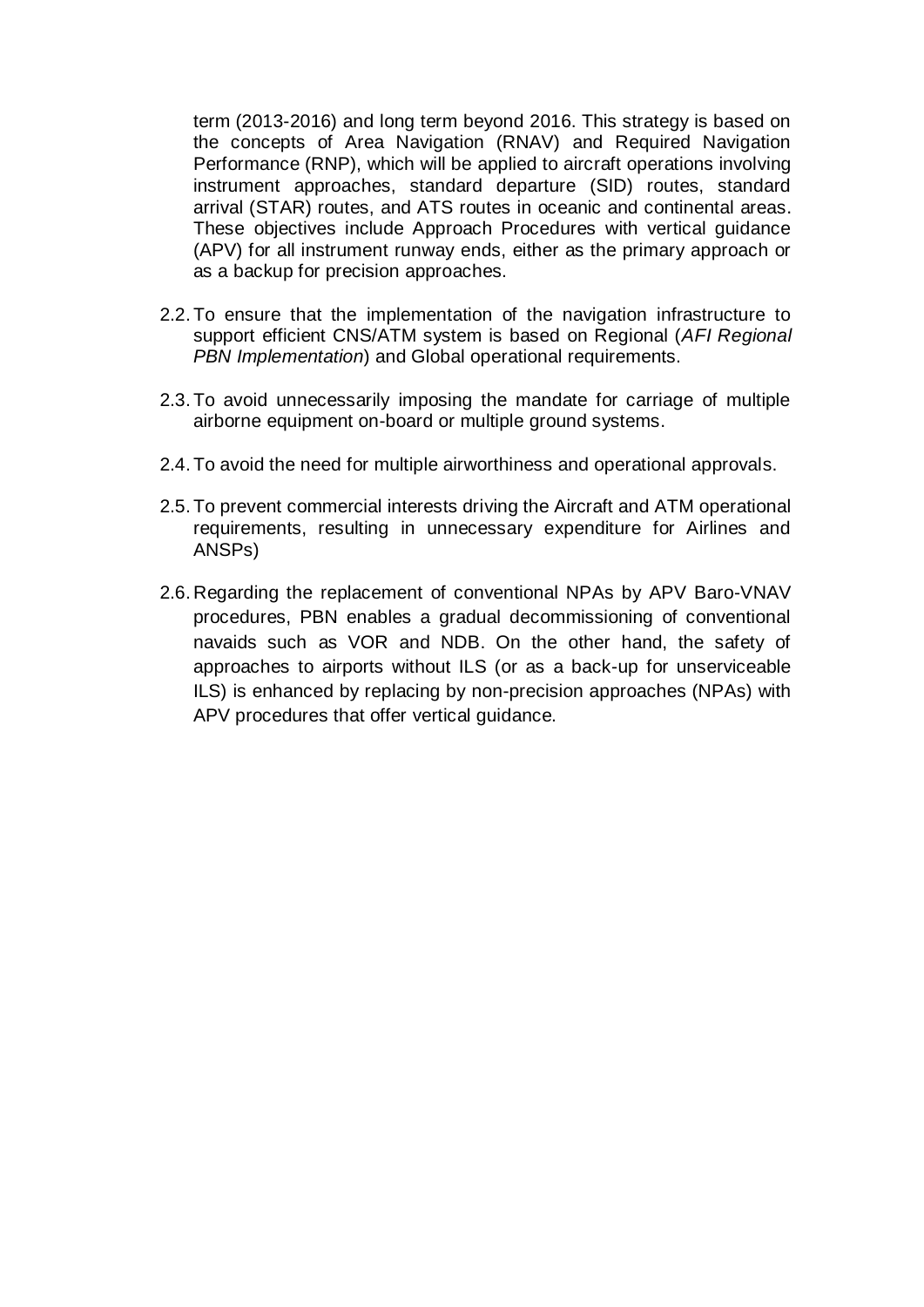term (2013-2016) and long term beyond 2016. This strategy is based on the concepts of Area Navigation (RNAV) and Required Navigation Performance (RNP), which will be applied to aircraft operations involving instrument approaches, standard departure (SID) routes, standard arrival (STAR) routes, and ATS routes in oceanic and continental areas. These objectives include Approach Procedures with vertical guidance (APV) for all instrument runway ends, either as the primary approach or as a backup for precision approaches.

- 2.2.To ensure that the implementation of the navigation infrastructure to support efficient CNS/ATM system is based on Regional (*AFI Regional PBN Implementation*) and Global operational requirements.
- 2.3.To avoid unnecessarily imposing the mandate for carriage of multiple airborne equipment on-board or multiple ground systems.
- 2.4.To avoid the need for multiple airworthiness and operational approvals.
- 2.5.To prevent commercial interests driving the Aircraft and ATM operational requirements, resulting in unnecessary expenditure for Airlines and ANSPs)
- 2.6. Regarding the replacement of conventional NPAs by APV Baro-VNAV procedures, PBN enables a gradual decommissioning of conventional navaids such as VOR and NDB. On the other hand, the safety of approaches to airports without ILS (or as a back-up for unserviceable ILS) is enhanced by replacing by non-precision approaches (NPAs) with APV procedures that offer vertical guidance.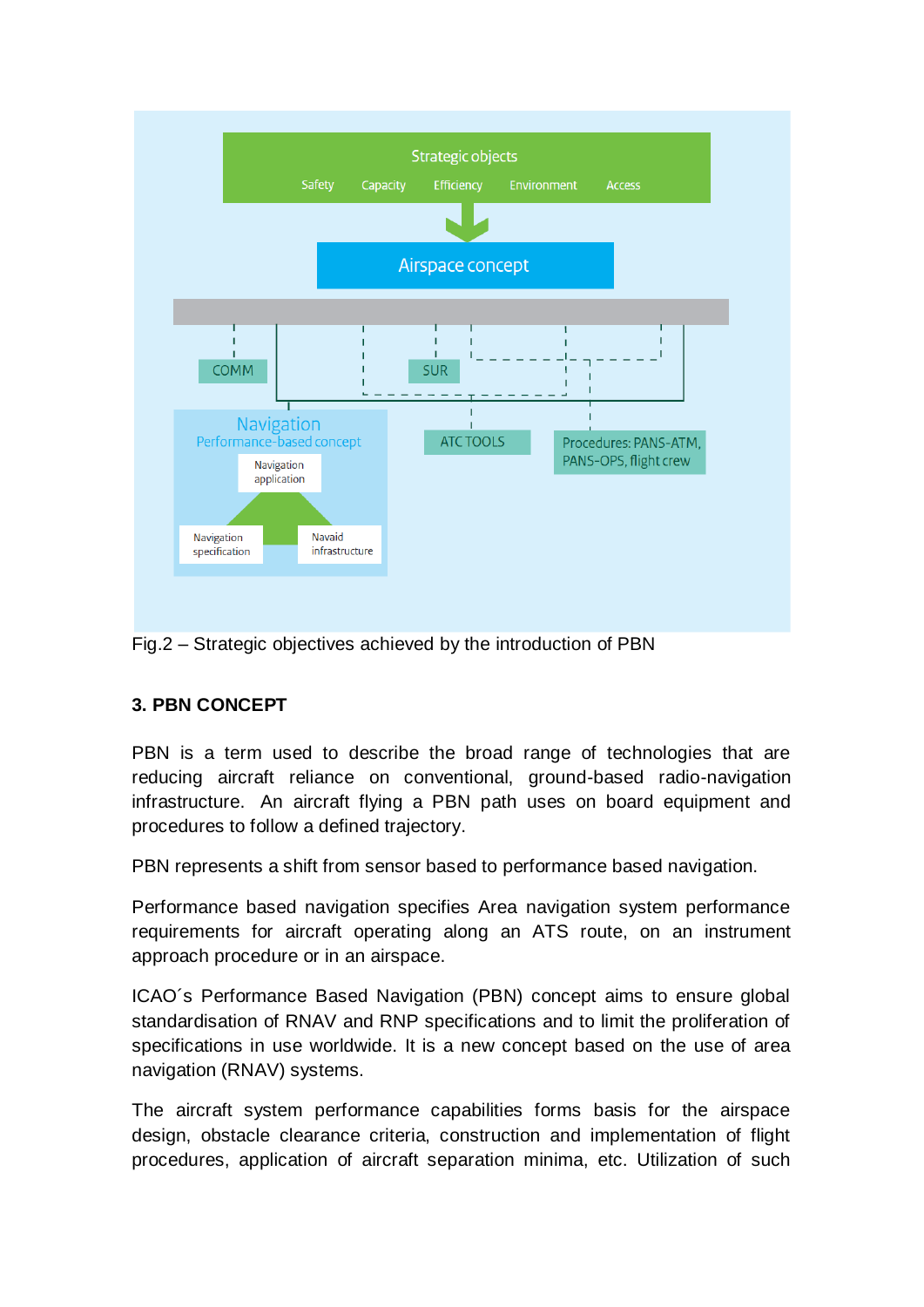

Fig.2 – Strategic objectives achieved by the introduction of PBN

# <span id="page-6-0"></span>**3. PBN CONCEPT**

PBN is a term used to describe the broad range of technologies that are reducing aircraft reliance on conventional, ground-based radio-navigation infrastructure. An aircraft flying a PBN path uses on board equipment and procedures to follow a defined trajectory.

PBN represents a shift from sensor based to performance based navigation.

Performance based navigation specifies Area navigation system performance requirements for aircraft operating along an ATS route, on an instrument approach procedure or in an airspace.

ICAO´s Performance Based Navigation (PBN) concept aims to ensure global standardisation of RNAV and RNP specifications and to limit the proliferation of specifications in use worldwide. It is a new concept based on the use of area navigation (RNAV) systems.

The aircraft system performance capabilities forms basis for the airspace design, obstacle clearance criteria, construction and implementation of flight procedures, application of aircraft separation minima, etc. Utilization of such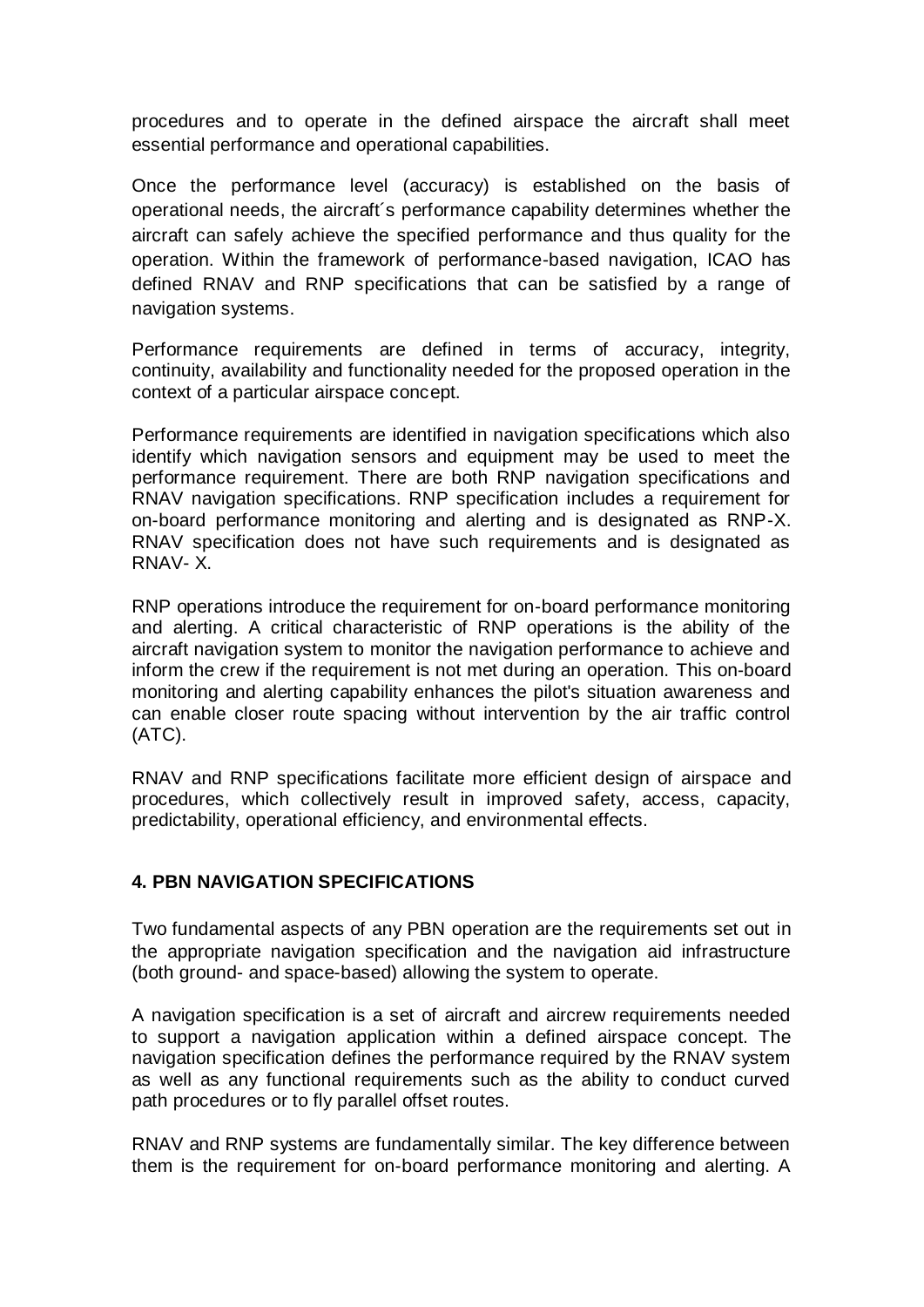procedures and to operate in the defined airspace the aircraft shall meet essential performance and operational capabilities.

Once the performance level (accuracy) is established on the basis of operational needs, the aircraft´s performance capability determines whether the aircraft can safely achieve the specified performance and thus quality for the operation. Within the framework of performance-based navigation, ICAO has defined RNAV and RNP specifications that can be satisfied by a range of navigation systems.

Performance requirements are defined in terms of accuracy, integrity, continuity, availability and functionality needed for the proposed operation in the context of a particular airspace concept.

Performance requirements are identified in navigation specifications which also identify which navigation sensors and equipment may be used to meet the performance requirement. There are both RNP navigation specifications and RNAV navigation specifications. RNP specification includes a requirement for on-board performance monitoring and alerting and is designated as RNP-X. RNAV specification does not have such requirements and is designated as RNAV- X.

RNP operations introduce the requirement for on-board performance monitoring and alerting. A critical characteristic of RNP operations is the ability of the aircraft navigation system to monitor the navigation performance to achieve and inform the crew if the requirement is not met during an operation. This on-board monitoring and alerting capability enhances the pilot's situation awareness and can enable closer route spacing without intervention by the air traffic control (ATC).

RNAV and RNP specifications facilitate more efficient design of airspace and procedures, which collectively result in improved safety, access, capacity, predictability, operational efficiency, and environmental effects.

## <span id="page-7-0"></span>**4. PBN NAVIGATION SPECIFICATIONS**

Two fundamental aspects of any PBN operation are the requirements set out in the appropriate navigation specification and the navigation aid infrastructure (both ground- and space-based) allowing the system to operate.

A navigation specification is a set of aircraft and aircrew requirements needed to support a navigation application within a defined airspace concept. The navigation specification defines the performance required by the RNAV system as well as any functional requirements such as the ability to conduct curved path procedures or to fly parallel offset routes.

RNAV and RNP systems are fundamentally similar. The key difference between them is the requirement for on-board performance monitoring and alerting. A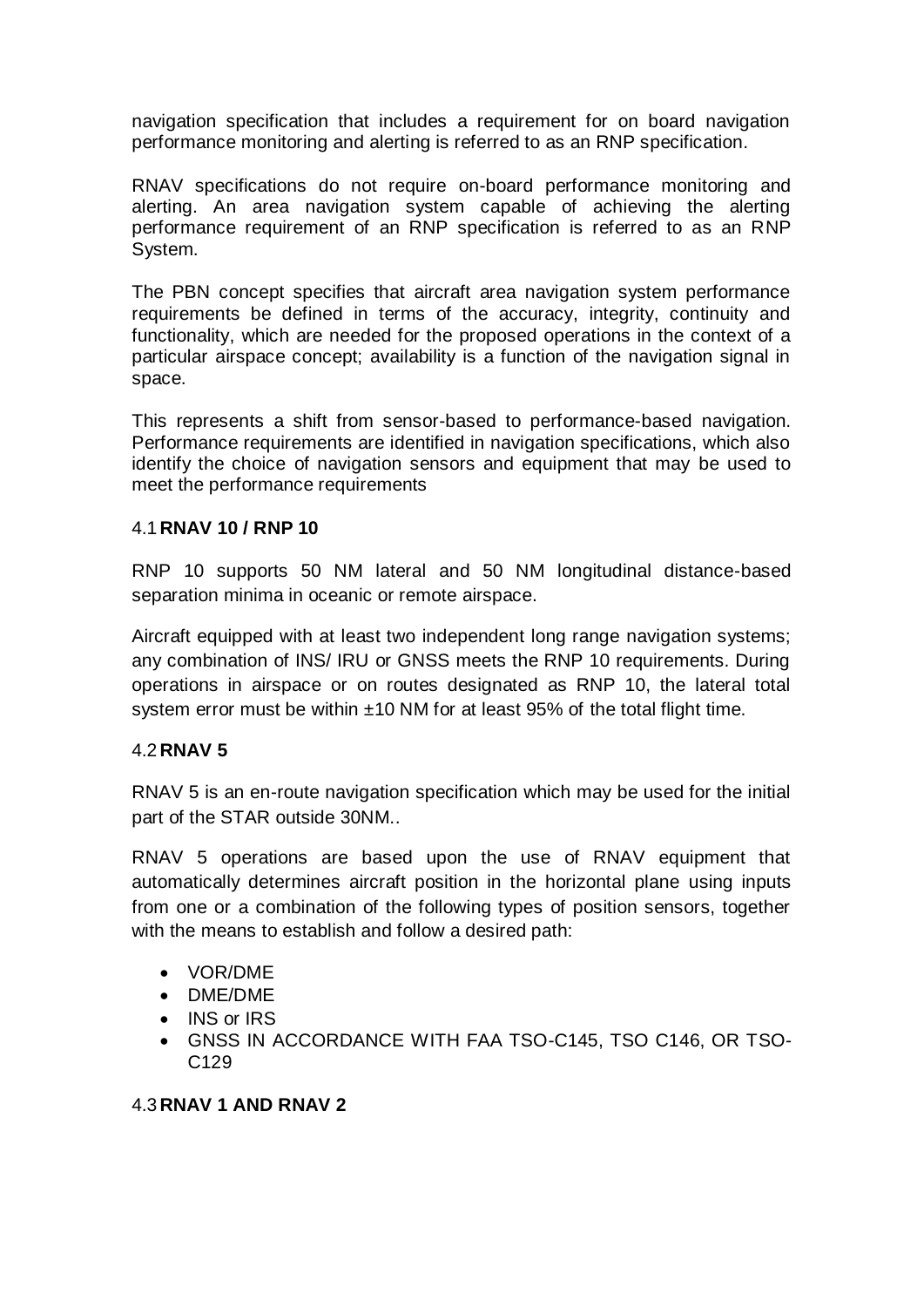navigation specification that includes a requirement for on board navigation performance monitoring and alerting is referred to as an RNP specification.

RNAV specifications do not require on-board performance monitoring and alerting. An area navigation system capable of achieving the alerting performance requirement of an RNP specification is referred to as an RNP System.

The PBN concept specifies that aircraft area navigation system performance requirements be defined in terms of the accuracy, integrity, continuity and functionality, which are needed for the proposed operations in the context of a particular airspace concept; availability is a function of the navigation signal in space.

This represents a shift from sensor-based to performance-based navigation. Performance requirements are identified in navigation specifications, which also identify the choice of navigation sensors and equipment that may be used to meet the performance requirements

### <span id="page-8-0"></span>4.1**RNAV 10 / RNP 10**

RNP 10 supports 50 NM lateral and 50 NM longitudinal distance-based separation minima in oceanic or remote airspace.

Aircraft equipped with at least two independent long range navigation systems; any combination of INS/ IRU or GNSS meets the RNP 10 requirements. During operations in airspace or on routes designated as RNP 10, the lateral total system error must be within  $\pm$ 10 NM for at least 95% of the total flight time.

### <span id="page-8-1"></span>4.2**RNAV 5**

RNAV 5 is an en-route navigation specification which may be used for the initial part of the STAR outside 30NM..

RNAV 5 operations are based upon the use of RNAV equipment that automatically determines aircraft position in the horizontal plane using inputs from one or a combination of the following types of position sensors, together with the means to establish and follow a desired path:

- VOR/DME
- DME/DME
- INS or IRS
- GNSS IN ACCORDANCE WITH FAA TSO-C145, TSO C146, OR TSO-C129

## <span id="page-8-2"></span>4.3**RNAV 1 AND RNAV 2**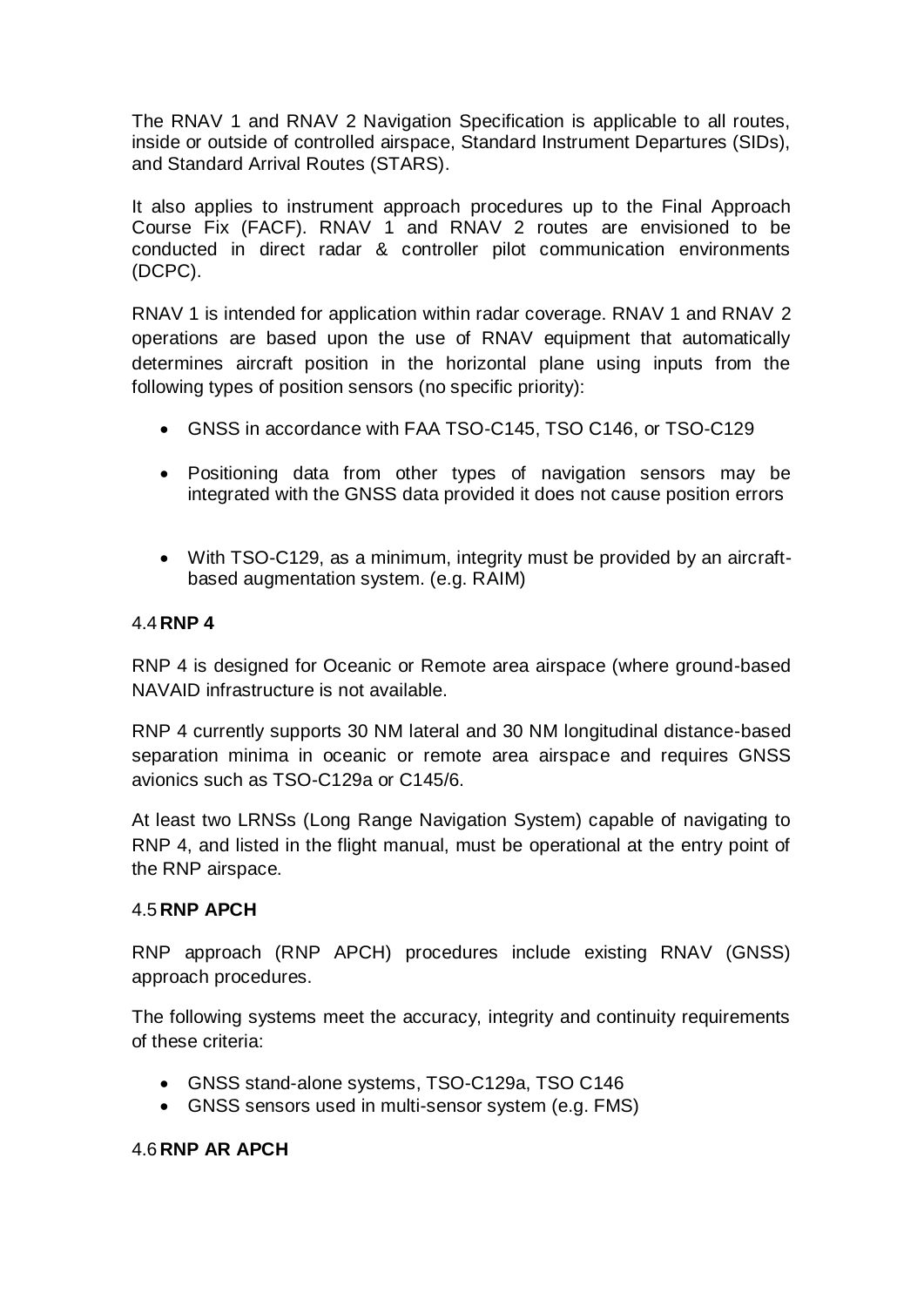The RNAV 1 and RNAV 2 Navigation Specification is applicable to all routes, inside or outside of controlled airspace, Standard Instrument Departures (SIDs), and Standard Arrival Routes (STARS).

It also applies to instrument approach procedures up to the Final Approach Course Fix (FACF). RNAV 1 and RNAV 2 routes are envisioned to be conducted in direct radar & controller pilot communication environments (DCPC).

RNAV 1 is intended for application within radar coverage. RNAV 1 and RNAV 2 operations are based upon the use of RNAV equipment that automatically determines aircraft position in the horizontal plane using inputs from the following types of position sensors (no specific priority):

- GNSS in accordance with FAA TSO-C145, TSO C146, or TSO-C129
- Positioning data from other types of navigation sensors may be integrated with the GNSS data provided it does not cause position errors
- With TSO-C129, as a minimum, integrity must be provided by an aircraftbased augmentation system. (e.g. RAIM)

### <span id="page-9-0"></span>4.4**RNP 4**

RNP 4 is designed for Oceanic or Remote area airspace (where ground-based NAVAID infrastructure is not available.

RNP 4 currently supports 30 NM lateral and 30 NM longitudinal distance-based separation minima in oceanic or remote area airspace and requires GNSS avionics such as TSO-C129a or C145/6.

At least two LRNSs (Long Range Navigation System) capable of navigating to RNP 4, and listed in the flight manual, must be operational at the entry point of the RNP airspace.

### <span id="page-9-1"></span>4.5**RNP APCH**

RNP approach (RNP APCH) procedures include existing RNAV (GNSS) approach procedures.

The following systems meet the accuracy, integrity and continuity requirements of these criteria:

- GNSS stand-alone systems, TSO-C129a, TSO C146
- GNSS sensors used in multi-sensor system (e.g. FMS)

### <span id="page-9-2"></span>4.6**RNP AR APCH**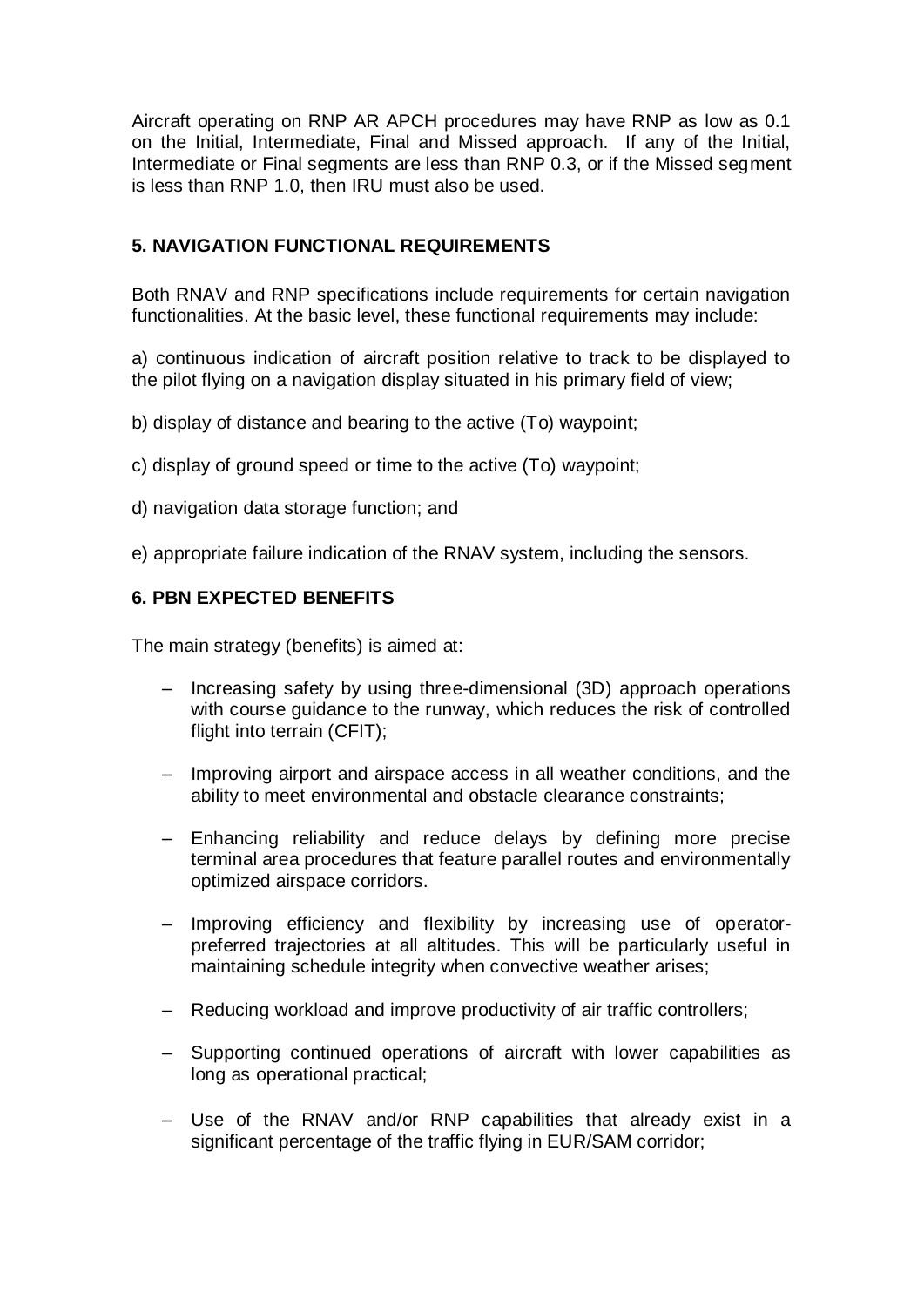Aircraft operating on RNP AR APCH procedures may have RNP as low as 0.1 on the Initial, Intermediate, Final and Missed approach. If any of the Initial, Intermediate or Final segments are less than RNP 0.3, or if the Missed segment is less than RNP 1.0, then IRU must also be used.

## <span id="page-10-0"></span>**5. NAVIGATION FUNCTIONAL REQUIREMENTS**

Both RNAV and RNP specifications include requirements for certain navigation functionalities. At the basic level, these functional requirements may include:

a) continuous indication of aircraft position relative to track to be displayed to the pilot flying on a navigation display situated in his primary field of view;

- b) display of distance and bearing to the active (To) waypoint;
- c) display of ground speed or time to the active (To) waypoint;
- d) navigation data storage function; and
- e) appropriate failure indication of the RNAV system, including the sensors.

#### <span id="page-10-1"></span>**6. PBN EXPECTED BENEFITS**

The main strategy (benefits) is aimed at:

- Increasing safety by using three-dimensional (3D) approach operations with course guidance to the runway, which reduces the risk of controlled flight into terrain (CFIT);
- Improving airport and airspace access in all weather conditions, and the ability to meet environmental and obstacle clearance constraints;
- Enhancing reliability and reduce delays by defining more precise terminal area procedures that feature parallel routes and environmentally optimized airspace corridors.
- Improving efficiency and flexibility by increasing use of operatorpreferred trajectories at all altitudes. This will be particularly useful in maintaining schedule integrity when convective weather arises;
- Reducing workload and improve productivity of air traffic controllers;
- Supporting continued operations of aircraft with lower capabilities as long as operational practical;
- Use of the RNAV and/or RNP capabilities that already exist in a significant percentage of the traffic flying in EUR/SAM corridor;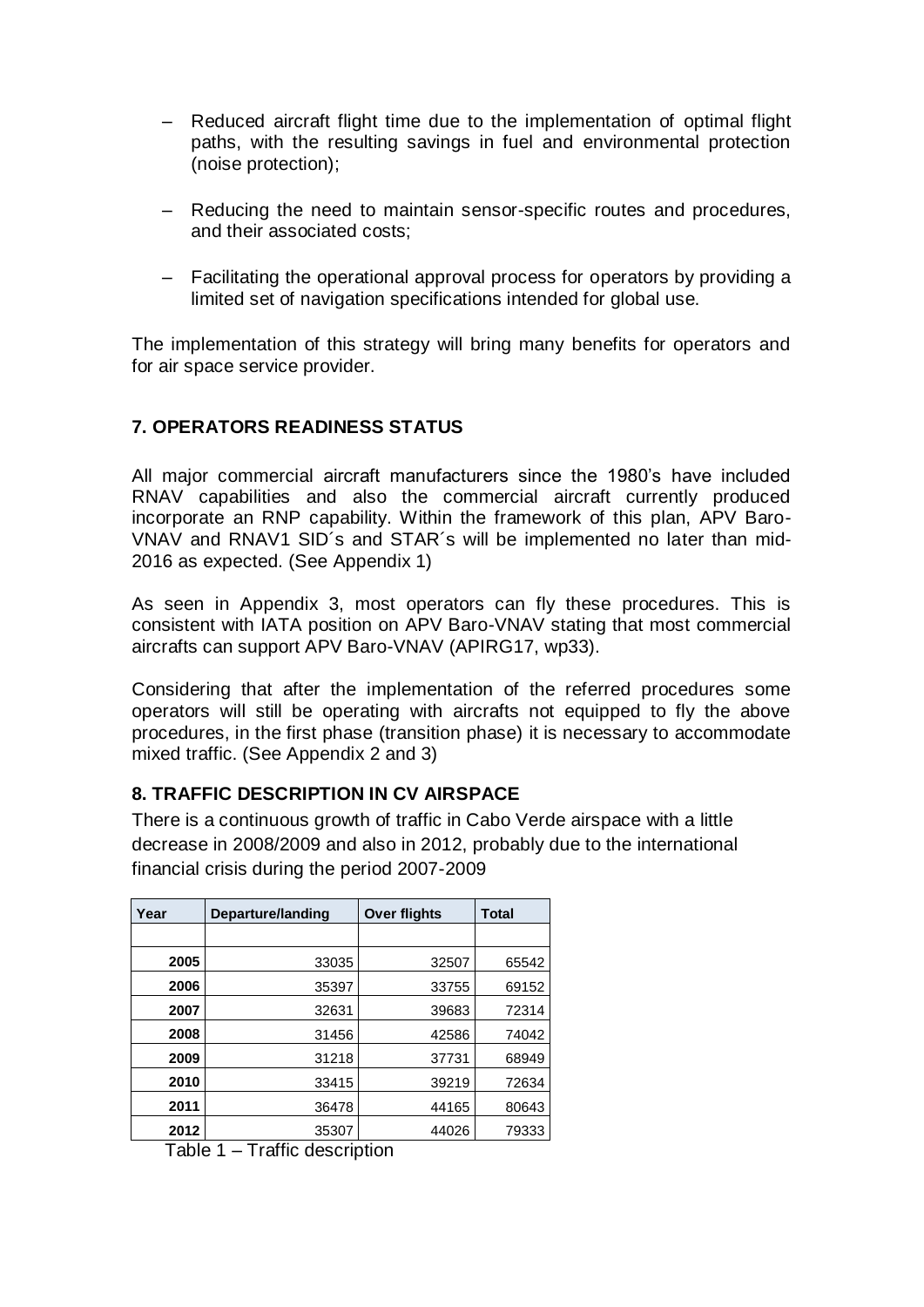- Reduced aircraft flight time due to the implementation of optimal flight paths, with the resulting savings in fuel and environmental protection (noise protection);
- Reducing the need to maintain sensor-specific routes and procedures, and their associated costs;
- Facilitating the operational approval process for operators by providing a limited set of navigation specifications intended for global use.

The implementation of this strategy will bring many benefits for operators and for air space service provider.

### <span id="page-11-0"></span>**7. OPERATORS READINESS STATUS**

All major commercial aircraft manufacturers since the 1980's have included RNAV capabilities and also the commercial aircraft currently produced incorporate an RNP capability. Within the framework of this plan, APV Baro-VNAV and RNAV1 SID´s and STAR´s will be implemented no later than mid-2016 as expected. (See Appendix 1)

As seen in Appendix 3, most operators can fly these procedures. This is consistent with IATA position on APV Baro-VNAV stating that most commercial aircrafts can support APV Baro-VNAV (APIRG17, wp33).

Considering that after the implementation of the referred procedures some operators will still be operating with aircrafts not equipped to fly the above procedures, in the first phase (transition phase) it is necessary to accommodate mixed traffic. (See Appendix 2 and 3)

### <span id="page-11-1"></span>**8. TRAFFIC DESCRIPTION IN CV AIRSPACE**

There is a continuous growth of traffic in Cabo Verde airspace with a little decrease in 2008/2009 and also in 2012, probably due to the international financial crisis during the period 2007-2009

| Year | Departure/landing | <b>Over flights</b> | <b>Total</b> |
|------|-------------------|---------------------|--------------|
|      |                   |                     |              |
| 2005 | 33035             | 32507               | 65542        |
| 2006 | 35397             | 33755               | 69152        |
| 2007 | 32631             | 39683               | 72314        |
| 2008 | 31456             | 42586               | 74042        |
| 2009 | 31218             | 37731               | 68949        |
| 2010 | 33415             | 39219               | 72634        |
| 2011 | 36478             | 44165               | 80643        |
| 2012 | 35307             | 44026               | 79333        |

Table 1 – Traffic description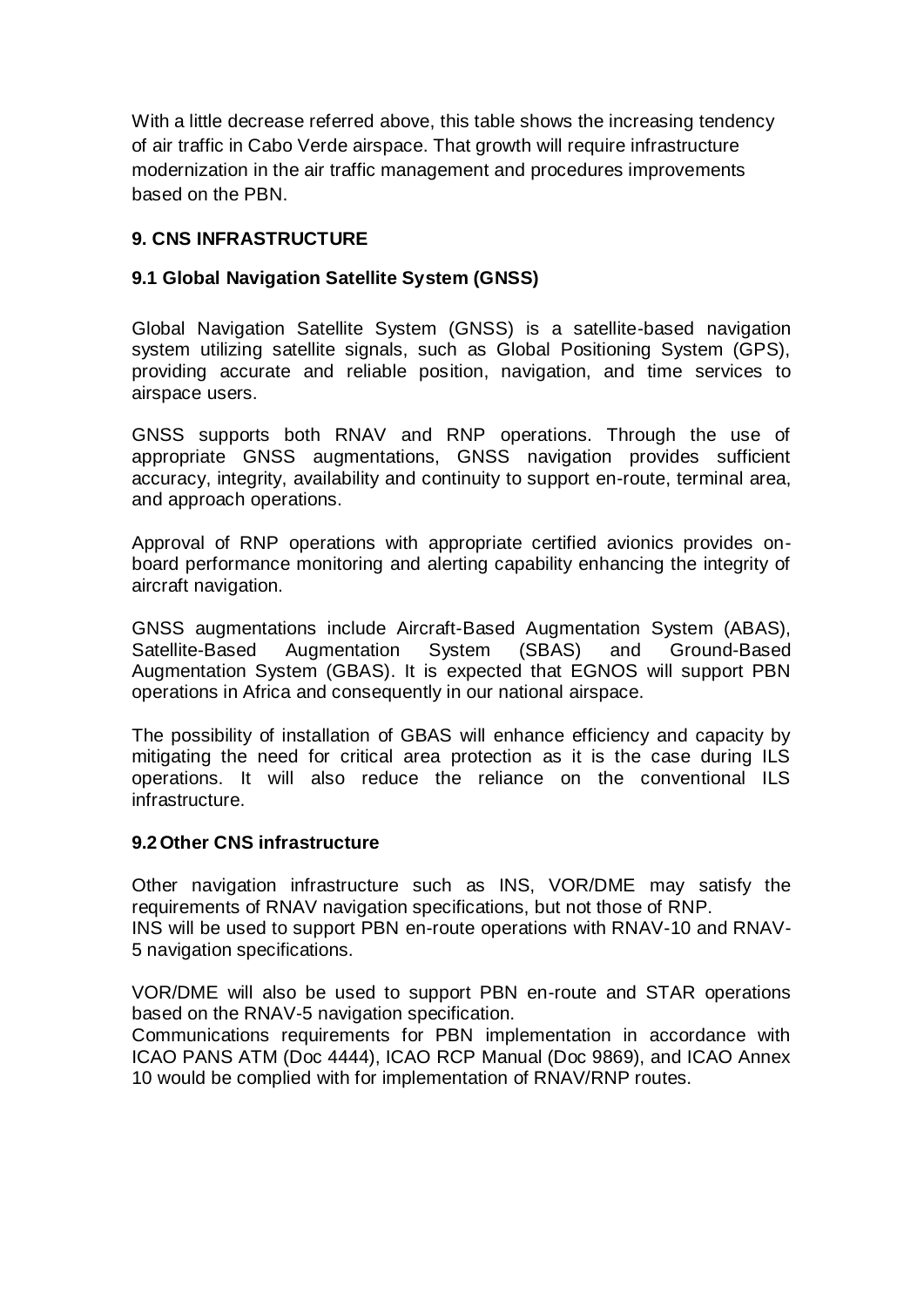With a little decrease referred above, this table shows the increasing tendency of air traffic in Cabo Verde airspace. That growth will require infrastructure modernization in the air traffic management and procedures improvements based on the PBN.

# <span id="page-12-0"></span>**9. CNS INFRASTRUCTURE**

## <span id="page-12-1"></span>**9.1 Global Navigation Satellite System (GNSS)**

Global Navigation Satellite System (GNSS) is a satellite-based navigation system utilizing satellite signals, such as Global Positioning System (GPS), providing accurate and reliable position, navigation, and time services to airspace users.

GNSS supports both RNAV and RNP operations. Through the use of appropriate GNSS augmentations, GNSS navigation provides sufficient accuracy, integrity, availability and continuity to support en-route, terminal area, and approach operations.

Approval of RNP operations with appropriate certified avionics provides onboard performance monitoring and alerting capability enhancing the integrity of aircraft navigation.

GNSS augmentations include Aircraft-Based Augmentation System (ABAS), Satellite-Based Augmentation System (SBAS) and Ground-Based Augmentation System (GBAS). It is expected that EGNOS will support PBN operations in Africa and consequently in our national airspace.

The possibility of installation of GBAS will enhance efficiency and capacity by mitigating the need for critical area protection as it is the case during ILS operations. It will also reduce the reliance on the conventional ILS infrastructure.

### <span id="page-12-2"></span>**9.2Other CNS infrastructure**

Other navigation infrastructure such as INS, VOR/DME may satisfy the requirements of RNAV navigation specifications, but not those of RNP. INS will be used to support PBN en-route operations with RNAV-10 and RNAV-5 navigation specifications.

VOR/DME will also be used to support PBN en-route and STAR operations based on the RNAV-5 navigation specification.

<span id="page-12-3"></span>Communications requirements for PBN implementation in accordance with ICAO PANS ATM (Doc 4444), ICAO RCP Manual (Doc 9869), and ICAO Annex 10 would be complied with for implementation of RNAV/RNP routes.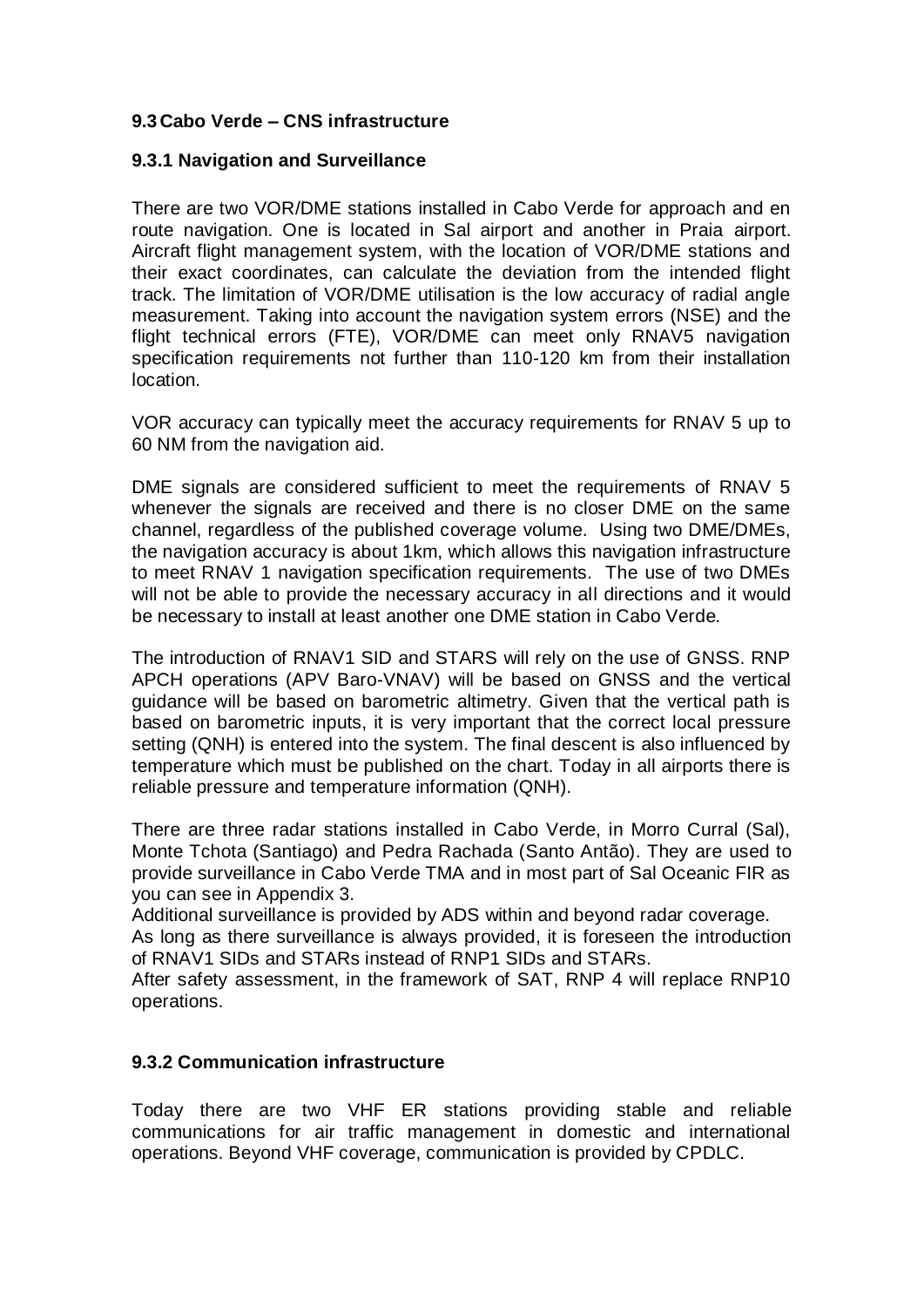### **9.3Cabo Verde – CNS infrastructure**

#### <span id="page-13-0"></span>**9.3.1 Navigation and Surveillance**

There are two VOR/DME stations installed in Cabo Verde for approach and en route navigation. One is located in Sal airport and another in Praia airport. Aircraft flight management system, with the location of VOR/DME stations and their exact coordinates, can calculate the deviation from the intended flight track. The limitation of VOR/DME utilisation is the low accuracy of radial angle measurement. Taking into account the navigation system errors (NSE) and the flight technical errors (FTE), VOR/DME can meet only RNAV5 navigation specification requirements not further than 110-120 km from their installation location.

VOR accuracy can typically meet the accuracy requirements for RNAV 5 up to 60 NM from the navigation aid.

DME signals are considered sufficient to meet the requirements of RNAV 5 whenever the signals are received and there is no closer DME on the same channel, regardless of the published coverage volume. Using two DME/DMEs, the navigation accuracy is about 1km, which allows this navigation infrastructure to meet RNAV 1 navigation specification requirements. The use of two DMEs will not be able to provide the necessary accuracy in all directions and it would be necessary to install at least another one DME station in Cabo Verde.

The introduction of RNAV1 SID and STARS will rely on the use of GNSS. RNP APCH operations (APV Baro-VNAV) will be based on GNSS and the vertical guidance will be based on barometric altimetry. Given that the vertical path is based on barometric inputs, it is very important that the correct local pressure setting (QNH) is entered into the system. The final descent is also influenced by temperature which must be published on the chart. Today in all airports there is reliable pressure and temperature information (QNH).

There are three radar stations installed in Cabo Verde, in Morro Curral (Sal), Monte Tchota (Santiago) and Pedra Rachada (Santo Antão). They are used to provide surveillance in Cabo Verde TMA and in most part of Sal Oceanic FIR as you can see in Appendix 3.

Additional surveillance is provided by ADS within and beyond radar coverage.

As long as there surveillance is always provided, it is foreseen the introduction of RNAV1 SIDs and STARs instead of RNP1 SIDs and STARs.

After safety assessment, in the framework of SAT, RNP 4 will replace RNP10 operations.

### <span id="page-13-1"></span>**9.3.2 Communication infrastructure**

Today there are two VHF ER stations providing stable and reliable communications for air traffic management in domestic and international operations. Beyond VHF coverage, communication is provided by CPDLC.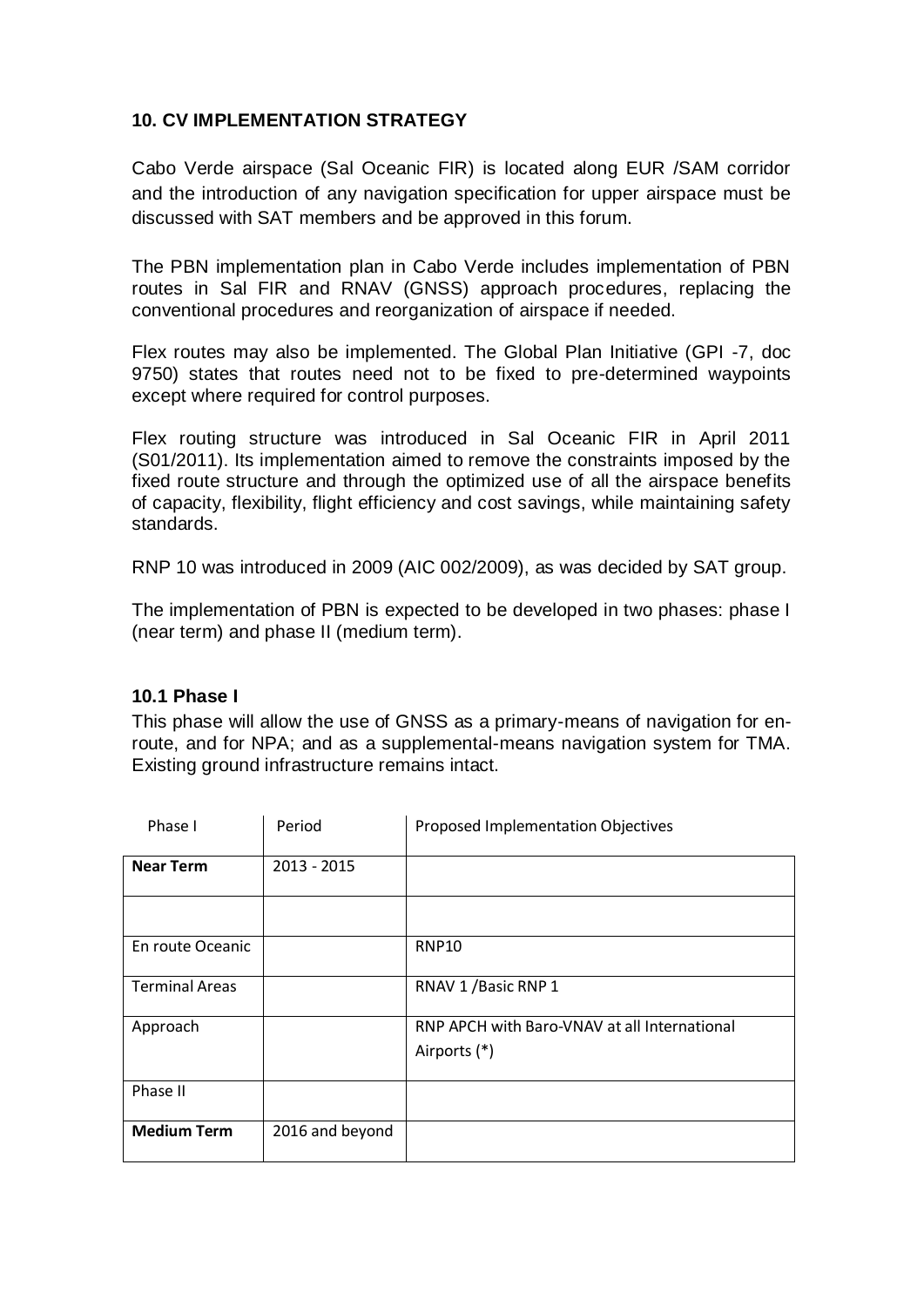## <span id="page-14-0"></span>**10. CV IMPLEMENTATION STRATEGY**

Cabo Verde airspace (Sal Oceanic FIR) is located along EUR /SAM corridor and the introduction of any navigation specification for upper airspace must be discussed with SAT members and be approved in this forum.

The PBN implementation plan in Cabo Verde includes implementation of PBN routes in Sal FIR and RNAV (GNSS) approach procedures, replacing the conventional procedures and reorganization of airspace if needed.

Flex routes may also be implemented. The Global Plan Initiative (GPI -7, doc 9750) states that routes need not to be fixed to pre-determined waypoints except where required for control purposes.

Flex routing structure was introduced in Sal Oceanic FIR in April 2011 (S01/2011). Its implementation aimed to remove the constraints imposed by the fixed route structure and through the optimized use of all the airspace benefits of capacity, flexibility, flight efficiency and cost savings, while maintaining safety standards.

RNP 10 was introduced in 2009 (AIC 002/2009), as was decided by SAT group.

The implementation of PBN is expected to be developed in two phases: phase I (near term) and phase II (medium term).

### <span id="page-14-1"></span>**10.1 Phase I**

This phase will allow the use of GNSS as a primary-means of navigation for enroute, and for NPA; and as a supplemental-means navigation system for TMA. Existing ground infrastructure remains intact.

| Phase I               | Period          | Proposed Implementation Objectives                           |
|-----------------------|-----------------|--------------------------------------------------------------|
| <b>Near Term</b>      | $2013 - 2015$   |                                                              |
|                       |                 |                                                              |
| En route Oceanic      |                 | <b>RNP10</b>                                                 |
| <b>Terminal Areas</b> |                 | RNAV 1/Basic RNP 1                                           |
| Approach              |                 | RNP APCH with Baro-VNAV at all International<br>Airports (*) |
| Phase II              |                 |                                                              |
| <b>Medium Term</b>    | 2016 and beyond |                                                              |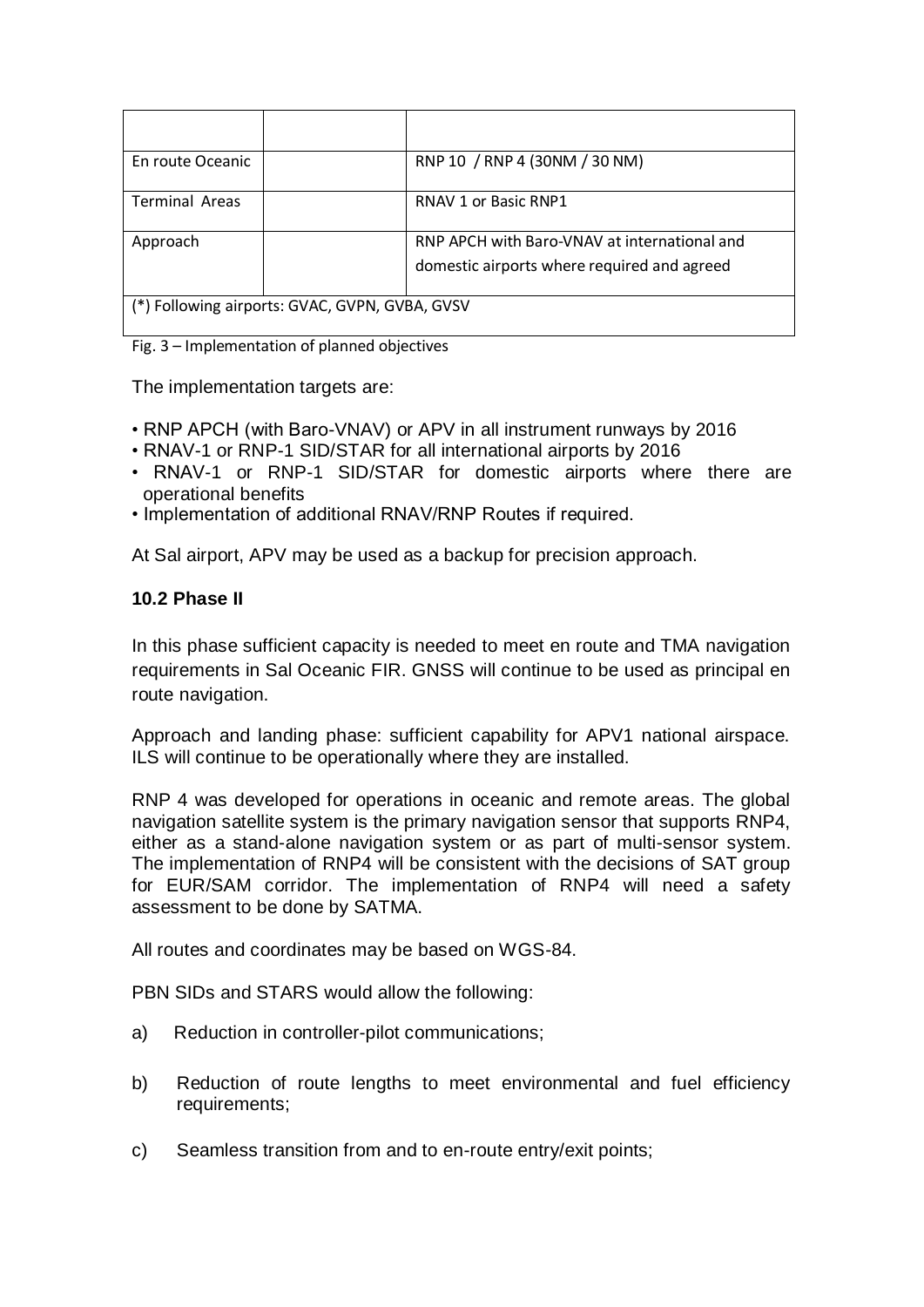| <b>En route Oceanic</b>                        |  | RNP 10 / RNP 4 (30NM / 30 NM)                |
|------------------------------------------------|--|----------------------------------------------|
| <b>Terminal Areas</b>                          |  | <b>RNAV 1 or Basic RNP1</b>                  |
| Approach                                       |  | RNP APCH with Baro-VNAV at international and |
|                                                |  | domestic airports where required and agreed  |
| (*) Following airports: GVAC, GVPN, GVBA, GVSV |  |                                              |

| Fig. 3 - Implementation of planned objectives |  |  |
|-----------------------------------------------|--|--|
|-----------------------------------------------|--|--|

The implementation targets are:

- RNP APCH (with Baro-VNAV) or APV in all instrument runways by 2016
- RNAV-1 or RNP-1 SID/STAR for all international airports by 2016
- RNAV-1 or RNP-1 SID/STAR for domestic airports where there are operational benefits
- Implementation of additional RNAV/RNP Routes if required.

At Sal airport, APV may be used as a backup for precision approach.

#### <span id="page-15-0"></span>**10.2 Phase II**

In this phase sufficient capacity is needed to meet en route and TMA navigation requirements in Sal Oceanic FIR. GNSS will continue to be used as principal en route navigation.

Approach and landing phase: sufficient capability for APV1 national airspace. ILS will continue to be operationally where they are installed.

RNP 4 was developed for operations in oceanic and remote areas. The global navigation satellite system is the primary navigation sensor that supports RNP4, either as a stand-alone navigation system or as part of multi-sensor system. The implementation of RNP4 will be consistent with the decisions of SAT group for EUR/SAM corridor. The implementation of RNP4 will need a safety assessment to be done by SATMA.

All routes and coordinates may be based on WGS-84.

PBN SIDs and STARS would allow the following:

- a) Reduction in controller-pilot communications;
- b) Reduction of route lengths to meet environmental and fuel efficiency requirements;
- c) Seamless transition from and to en-route entry/exit points;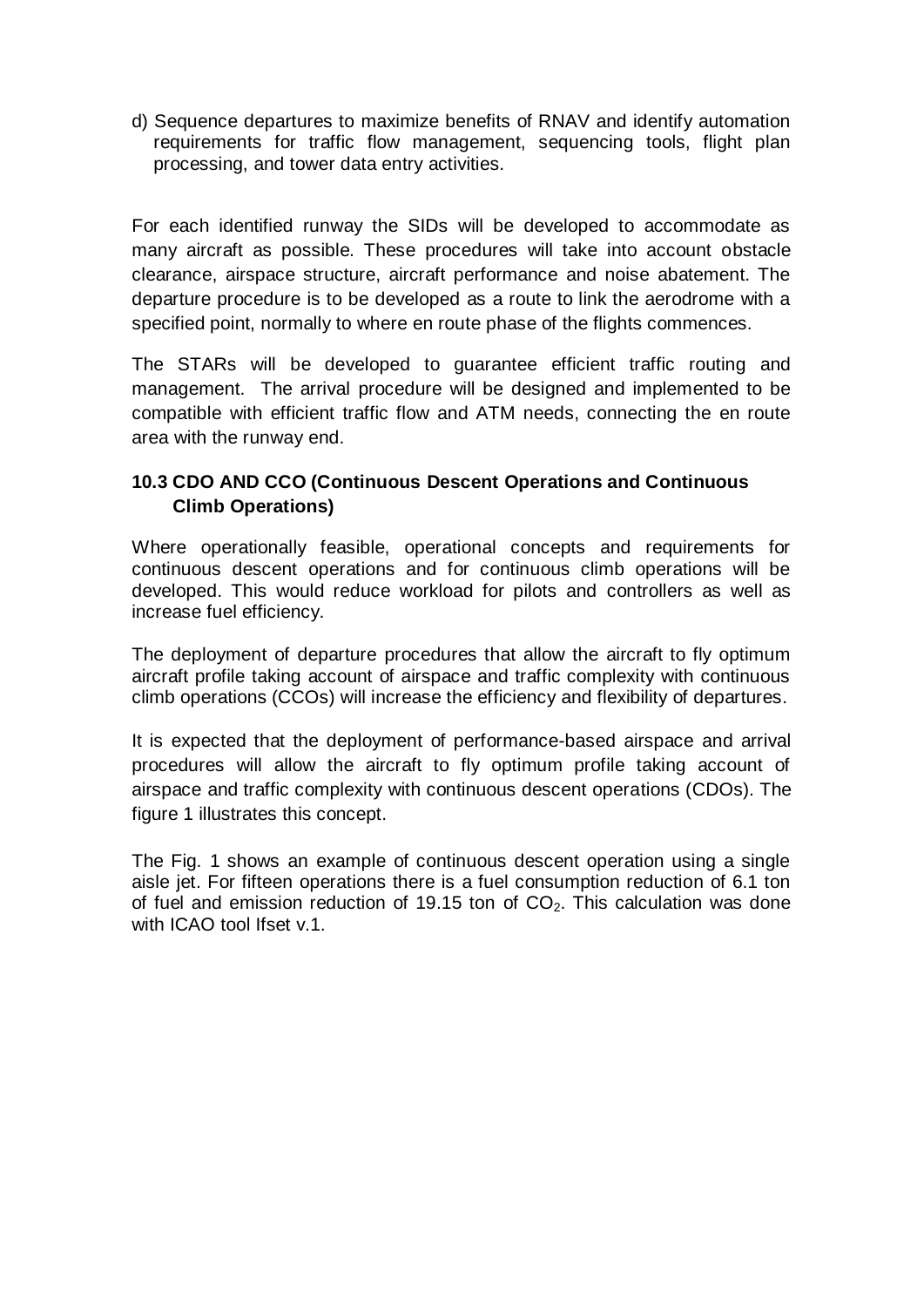d) Sequence departures to maximize benefits of RNAV and identify automation requirements for traffic flow management, sequencing tools, flight plan processing, and tower data entry activities.

For each identified runway the SIDs will be developed to accommodate as many aircraft as possible. These procedures will take into account obstacle clearance, airspace structure, aircraft performance and noise abatement. The departure procedure is to be developed as a route to link the aerodrome with a specified point, normally to where en route phase of the flights commences.

The STARs will be developed to guarantee efficient traffic routing and management. The arrival procedure will be designed and implemented to be compatible with efficient traffic flow and ATM needs, connecting the en route area with the runway end.

# <span id="page-16-0"></span>**10.3 CDO AND CCO (Continuous Descent Operations and Continuous Climb Operations)**

Where operationally feasible, operational concepts and requirements for continuous descent operations and for continuous climb operations will be developed. This would reduce workload for pilots and controllers as well as increase fuel efficiency.

The deployment of departure procedures that allow the aircraft to fly optimum aircraft profile taking account of airspace and traffic complexity with continuous climb operations (CCOs) will increase the efficiency and flexibility of departures.

It is expected that the deployment of performance-based airspace and arrival procedures will allow the aircraft to fly optimum profile taking account of airspace and traffic complexity with continuous descent operations (CDOs). The figure 1 illustrates this concept.

The Fig. 1 shows an example of continuous descent operation using a single aisle jet. For fifteen operations there is a fuel consumption reduction of 6.1 ton of fuel and emission reduction of 19.15 ton of  $CO<sub>2</sub>$ . This calculation was done with ICAO tool Ifset v.1.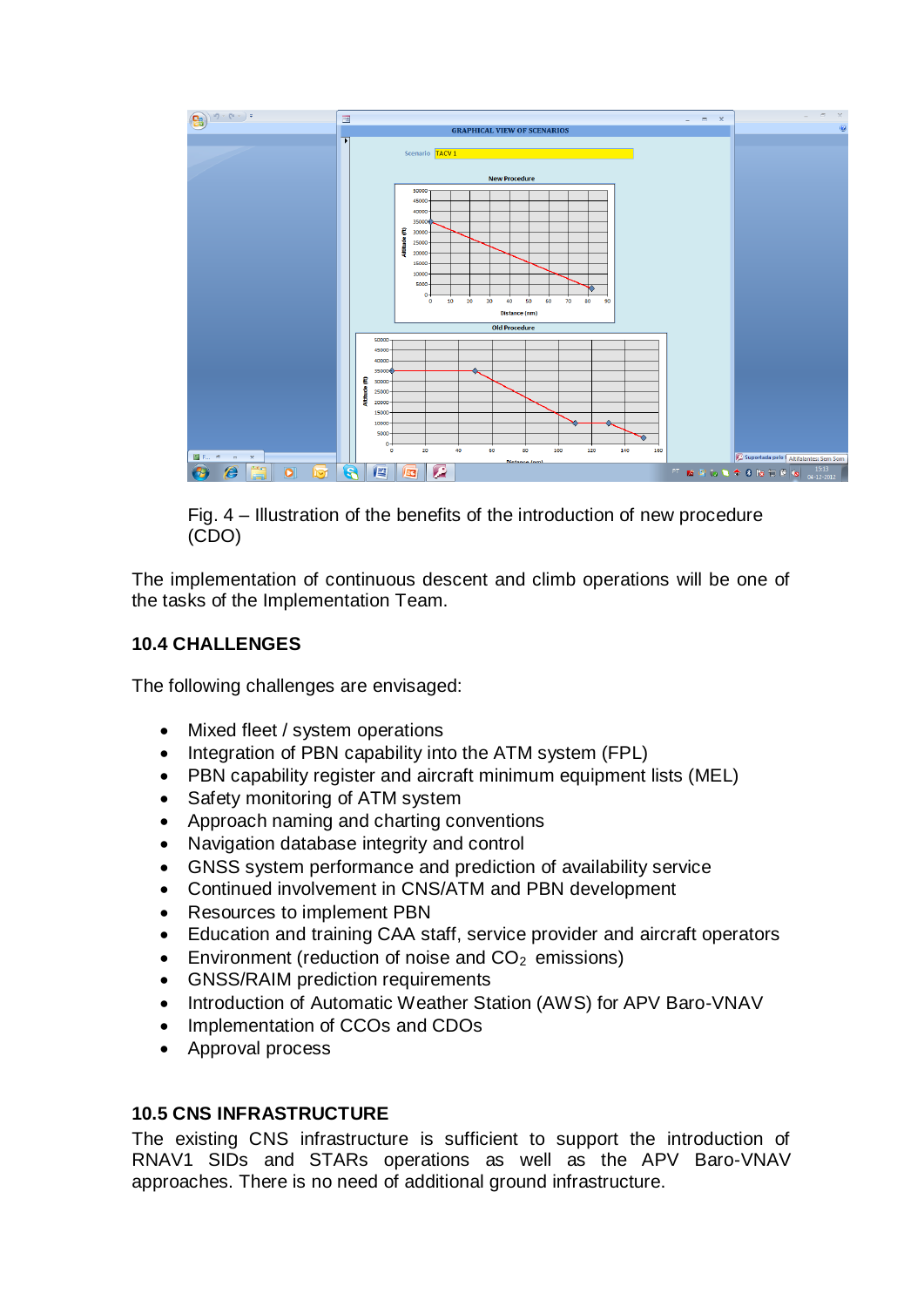

Fig. 4 – Illustration of the benefits of the introduction of new procedure (CDO)

The implementation of continuous descent and climb operations will be one of the tasks of the Implementation Team.

## <span id="page-17-0"></span>**10.4 CHALLENGES**

The following challenges are envisaged:

- Mixed fleet / system operations
- Integration of PBN capability into the ATM system (FPL)
- PBN capability register and aircraft minimum equipment lists (MEL)
- Safety monitoring of ATM system
- Approach naming and charting conventions
- Navigation database integrity and control
- GNSS system performance and prediction of availability service
- Continued involvement in CNS/ATM and PBN development
- Resources to implement PBN
- Education and training CAA staff, service provider and aircraft operators
- **Environment (reduction of noise and**  $CO<sub>2</sub>$  **emissions)**
- GNSS/RAIM prediction requirements
- Introduction of Automatic Weather Station (AWS) for APV Baro-VNAV
- Implementation of CCOs and CDOs
- Approval process

### <span id="page-17-1"></span>**10.5 CNS INFRASTRUCTURE**

The existing CNS infrastructure is sufficient to support the introduction of RNAV1 SIDs and STARs operations as well as the APV Baro-VNAV approaches. There is no need of additional ground infrastructure.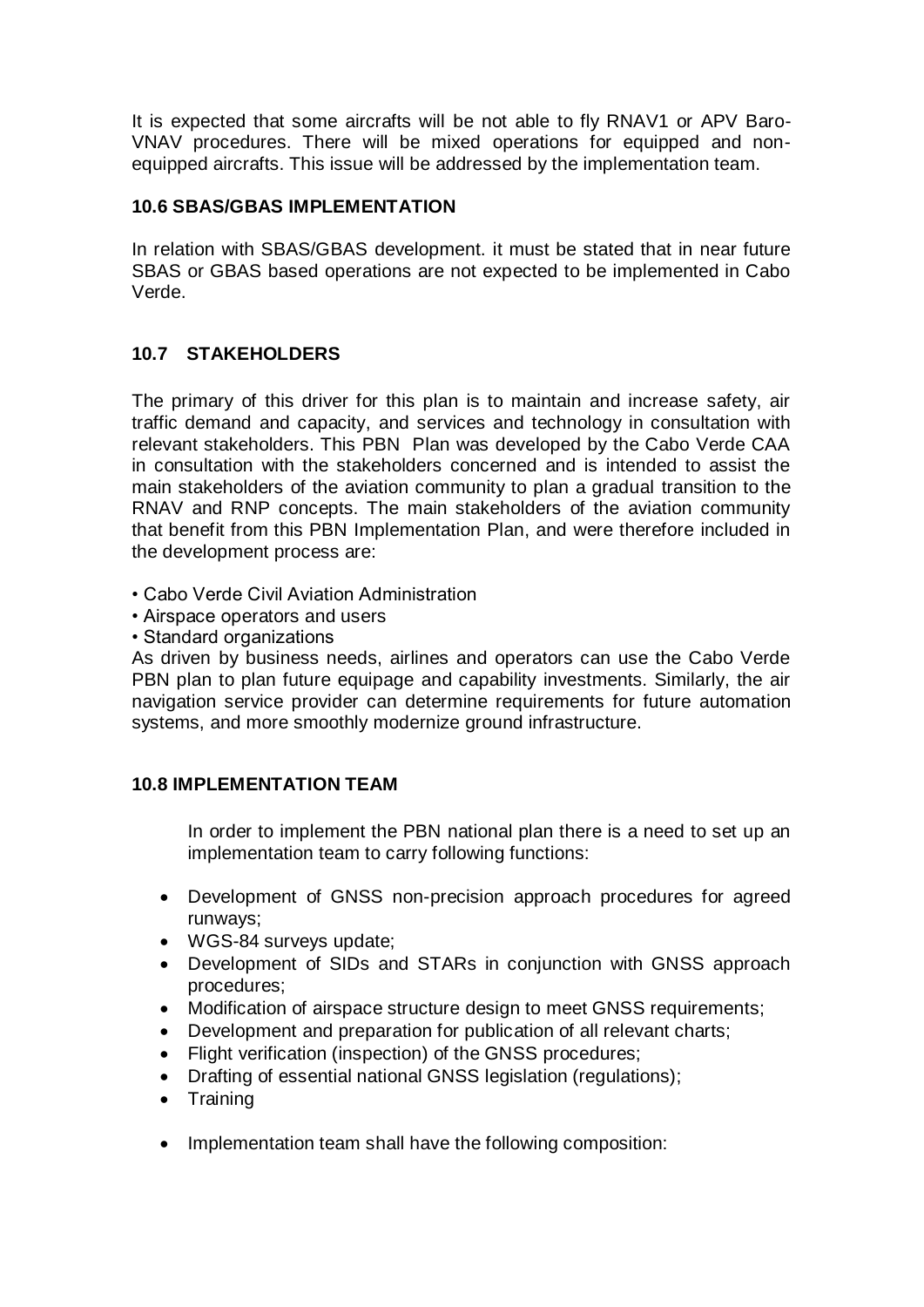It is expected that some aircrafts will be not able to fly RNAV1 or APV Baro-VNAV procedures. There will be mixed operations for equipped and nonequipped aircrafts. This issue will be addressed by the implementation team.

### <span id="page-18-0"></span>**10.6 SBAS/GBAS IMPLEMENTATION**

In relation with SBAS/GBAS development. it must be stated that in near future SBAS or GBAS based operations are not expected to be implemented in Cabo Verde.

## <span id="page-18-1"></span>**10.7 STAKEHOLDERS**

The primary of this driver for this plan is to maintain and increase safety, air traffic demand and capacity, and services and technology in consultation with relevant stakeholders. This PBN Plan was developed by the Cabo Verde CAA in consultation with the stakeholders concerned and is intended to assist the main stakeholders of the aviation community to plan a gradual transition to the RNAV and RNP concepts. The main stakeholders of the aviation community that benefit from this PBN Implementation Plan, and were therefore included in the development process are:

- Cabo Verde Civil Aviation Administration
- Airspace operators and users
- Standard organizations

As driven by business needs, airlines and operators can use the Cabo Verde PBN plan to plan future equipage and capability investments. Similarly, the air navigation service provider can determine requirements for future automation systems, and more smoothly modernize ground infrastructure.

### <span id="page-18-2"></span>**10.8 IMPLEMENTATION TEAM**

In order to implement the PBN national plan there is a need to set up an implementation team to carry following functions:

- Development of GNSS non-precision approach procedures for agreed runways;
- WGS-84 surveys update;
- Development of SIDs and STARs in conjunction with GNSS approach procedures;
- Modification of airspace structure design to meet GNSS requirements;
- Development and preparation for publication of all relevant charts;
- Flight verification (inspection) of the GNSS procedures;
- Drafting of essential national GNSS legislation (regulations);
- Training
- Implementation team shall have the following composition: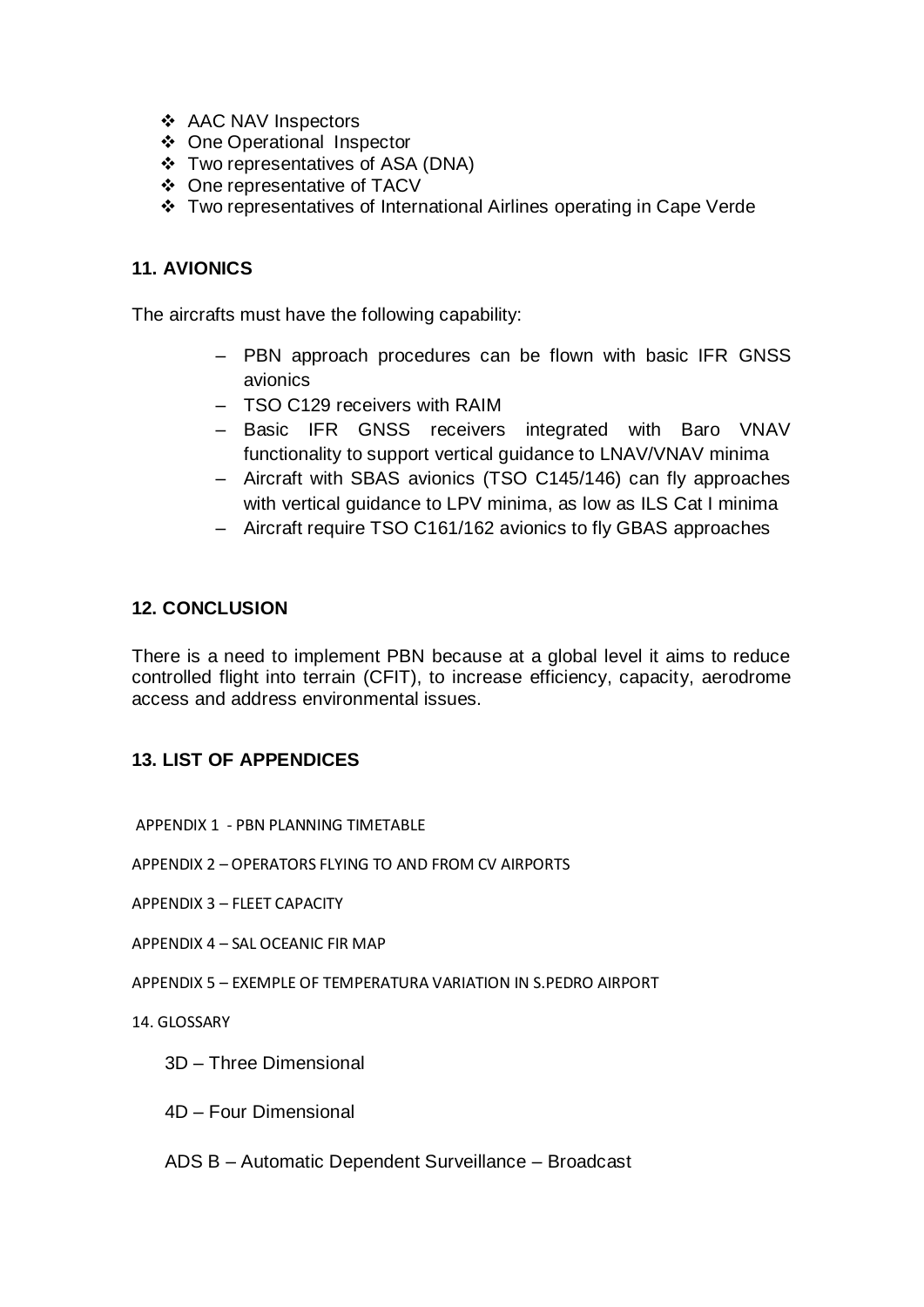- ❖ AAC NAV Inspectors
- One Operational Inspector
- Two representatives of ASA (DNA)
- One representative of TACV
- Two representatives of International Airlines operating in Cape Verde

### <span id="page-19-0"></span>**11. AVIONICS**

The aircrafts must have the following capability:

- PBN approach procedures can be flown with basic IFR GNSS avionics
- TSO C129 receivers with RAIM
- Basic IFR GNSS receivers integrated with Baro VNAV functionality to support vertical guidance to LNAV/VNAV minima
- Aircraft with SBAS avionics (TSO C145/146) can fly approaches with vertical guidance to LPV minima, as low as ILS Cat I minima
- Aircraft require TSO C161/162 avionics to fly GBAS approaches

### <span id="page-19-1"></span>**12. CONCLUSION**

There is a need to implement PBN because at a global level it aims to reduce controlled flight into terrain (CFIT), to increase efficiency, capacity, aerodrome access and address environmental issues.

### <span id="page-19-2"></span>**13. LIST OF APPENDICES**

APPENDIX 1 - PBN PLANNING TIMETABLE

APPENDIX 2 – OPERATORS FLYING TO AND FROM CV AIRPORTS

APPENDIX 3 – FLEET CAPACITY

APPENDIX 4 – SAL OCEANIC FIR MAP

APPENDIX 5 – EXEMPLE OF TEMPERATURA VARIATION IN S.PEDRO AIRPORT

14. GLOSSARY

- 3D Three Dimensional
- 4D Four Dimensional
- ADS B Automatic Dependent Surveillance Broadcast